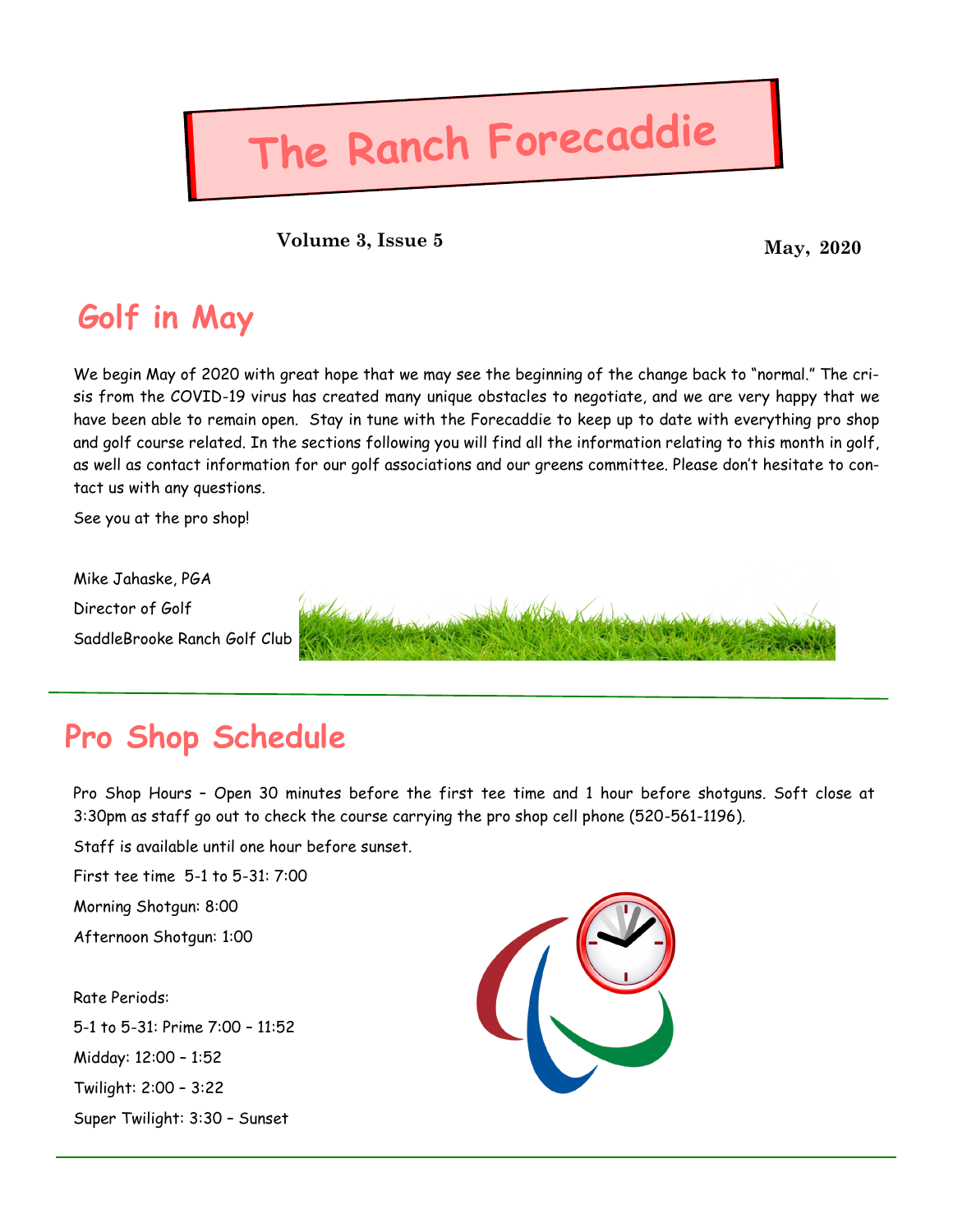# **The Ranch Forecaddie**

**May, 2020 Volume 3, Issue 5**

## **Golf in May**

We begin May of 2020 with great hope that we may see the beginning of the change back to "normal." The crisis from the COVID-19 virus has created many unique obstacles to negotiate, and we are very happy that we have been able to remain open. Stay in tune with the Forecaddie to keep up to date with everything pro shop and golf course related. In the sections following you will find all the information relating to this month in golf, as well as contact information for our golf associations and our greens committee. Please don't hesitate to contact us with any questions.

See you at the pro shop!

Mike Jahaske, PGA Director of Golf SaddleBrooke Ranch Golf Club



## **Pro Shop Schedule**

Pro Shop Hours – Open 30 minutes before the first tee time and 1 hour before shotguns. Soft close at 3:30pm as staff go out to check the course carrying the pro shop cell phone (520-561-1196).

Staff is available until one hour before sunset.

First tee time 5-1 to 5-31: 7:00

Morning Shotgun: 8:00

Afternoon Shotgun: 1:00

### Rate Periods:

5-1 to 5-31: Prime 7:00 – 11:52 Midday: 12:00 – 1:52 Twilight: 2:00 – 3:22 Super Twilight: 3:30 – Sunset

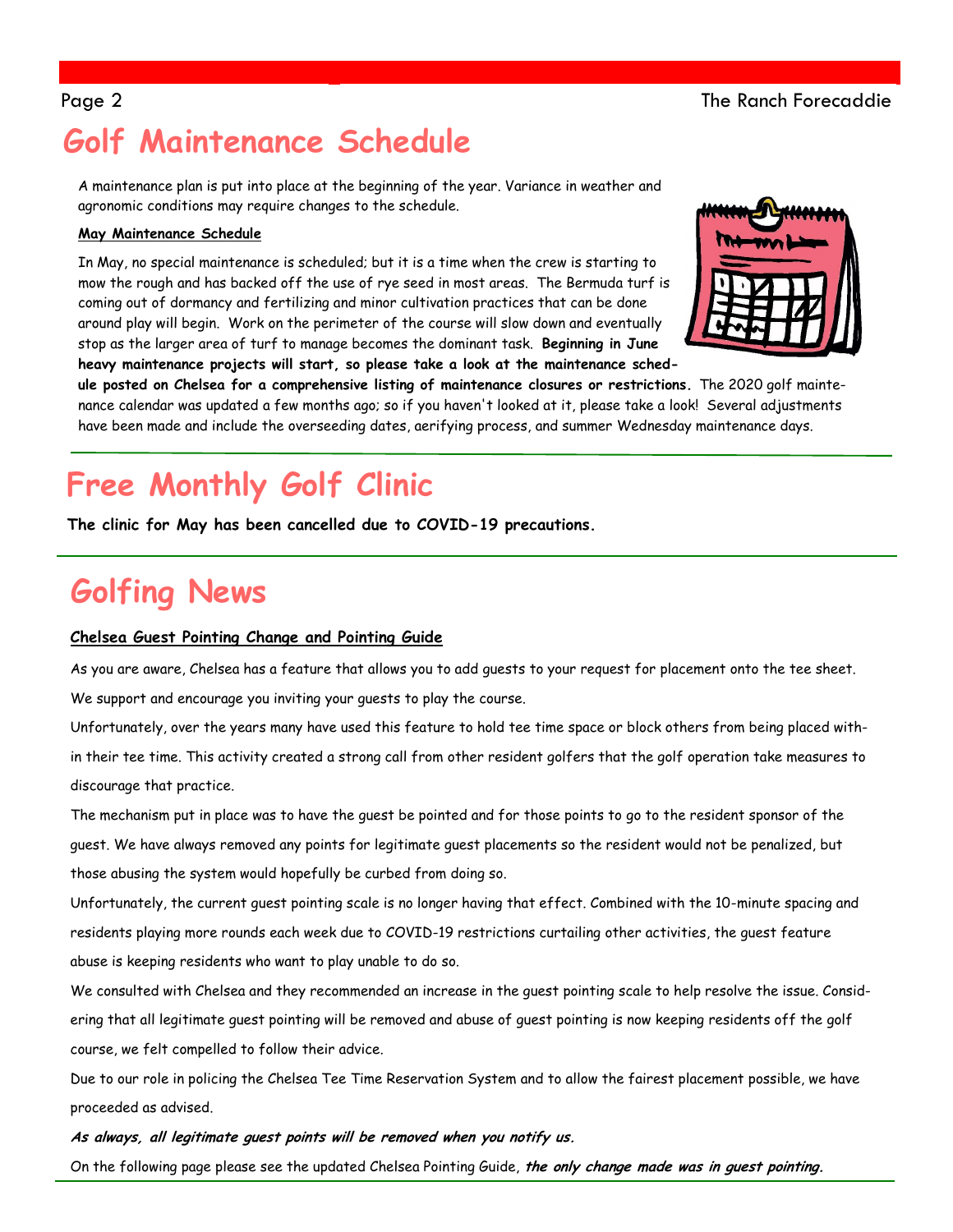## Page 2 The Ranch Forecaddie

## **Golf Maintenance Schedule**

A maintenance plan is put into place at the beginning of the year. Variance in weather and agronomic conditions may require changes to the schedule.

### **May Maintenance Schedule**

In May, no special maintenance is scheduled; but it is a time when the crew is starting to mow the rough and has backed off the use of rye seed in most areas. The Bermuda turf is coming out of dormancy and fertilizing and minor cultivation practices that can be done around play will begin. Work on the perimeter of the course will slow down and eventually stop as the larger area of turf to manage becomes the dominant task. **Beginning in June heavy maintenance projects will start, so please take a look at the maintenance sched-**



**ule posted on Chelsea for a comprehensive listing of maintenance closures or restrictions.** The 2020 golf maintenance calendar was updated a few months ago; so if you haven't looked at it, please take a look! Several adjustments have been made and include the overseeding dates, aerifying process, and summer Wednesday maintenance days.

## **Free Monthly Golf Clinic**

**The clinic for May has been cancelled due to COVID-19 precautions.** 

## **Golfing News**

### **Chelsea Guest Pointing Change and Pointing Guide**

As you are aware, Chelsea has a feature that allows you to add guests to your request for placement onto the tee sheet.

We support and encourage you inviting your guests to play the course.

Unfortunately, over the years many have used this feature to hold tee time space or block others from being placed within their tee time. This activity created a strong call from other resident golfers that the golf operation take measures to discourage that practice.

The mechanism put in place was to have the guest be pointed and for those points to go to the resident sponsor of the guest. We have always removed any points for legitimate guest placements so the resident would not be penalized, but those abusing the system would hopefully be curbed from doing so.

Unfortunately, the current guest pointing scale is no longer having that effect. Combined with the 10-minute spacing and residents playing more rounds each week due to COVID-19 restrictions curtailing other activities, the guest feature abuse is keeping residents who want to play unable to do so.

We consulted with Chelsea and they recommended an increase in the guest pointing scale to help resolve the issue. Considering that all legitimate guest pointing will be removed and abuse of guest pointing is now keeping residents off the golf course, we felt compelled to follow their advice.

Due to our role in policing the Chelsea Tee Time Reservation System and to allow the fairest placement possible, we have proceeded as advised.

### **As always, all legitimate guest points will be removed when you notify us.**

On the following page please see the updated Chelsea Pointing Guide, **the only change made was in guest pointing.**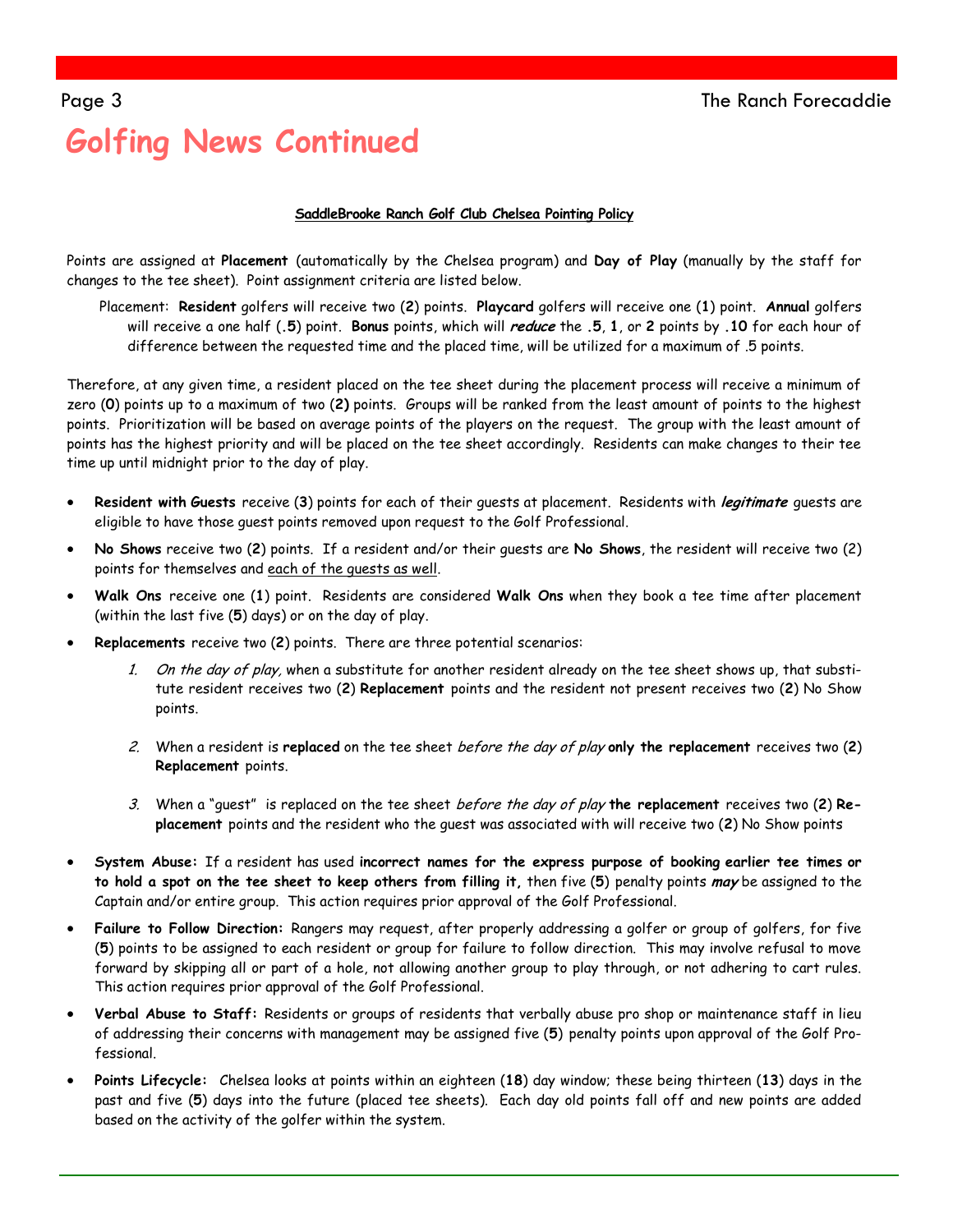# **Golfing News Continued**

### **SaddleBrooke Ranch Golf Club Chelsea Pointing Policy**

Points are assigned at **Placement** (automatically by the Chelsea program) and **Day of Play** (manually by the staff for changes to the tee sheet). Point assignment criteria are listed below.

Placement: **Resident** golfers will receive two (**2**) points. **Playcard** golfers will receive one (**1**) point. **Annual** golfers will receive a one half (**.5**) point. **Bonus** points, which will **reduce** the **.5**, **1**, or **2** points by **.10** for each hour of difference between the requested time and the placed time, will be utilized for a maximum of .5 points.

Therefore, at any given time, a resident placed on the tee sheet during the placement process will receive a minimum of zero (**0**) points up to a maximum of two (**2)** points. Groups will be ranked from the least amount of points to the highest points. Prioritization will be based on average points of the players on the request. The group with the least amount of points has the highest priority and will be placed on the tee sheet accordingly. Residents can make changes to their tee time up until midnight prior to the day of play.

- **Resident with Guests** receive (**3**) points for each of their guests at placement. Residents with **legitimate** guests are eligible to have those guest points removed upon request to the Golf Professional.
- **No Shows** receive two (**2**) points. If a resident and/or their guests are **No Shows**, the resident will receive two (2) points for themselves and each of the guests as well.
- **Walk Ons** receive one (**1**) point. Residents are considered **Walk Ons** when they book a tee time after placement (within the last five (**5**) days) or on the day of play.
- **Replacements** receive two (**2**) points. There are three potential scenarios:
	- 1. On the day of play, when a substitute for another resident already on the tee sheet shows up, that substitute resident receives two (**2**) **Replacement** points and the resident not present receives two (**2**) No Show points.
	- 2. When a resident is **replaced** on the tee sheet before the day of play **only the replacement** receives two (**2**) **Replacement** points.
	- 3. When a "guest" is replaced on the tee sheet before the day of play **the replacement** receives two (**2**) **Replacement** points and the resident who the guest was associated with will receive two (**2**) No Show points
- **System Abuse:** If a resident has used **incorrect names for the express purpose of booking earlier tee times or to hold a spot on the tee sheet to keep others from filling it,** then five (**5**) penalty points **may** be assigned to the Captain and/or entire group. This action requires prior approval of the Golf Professional.
- **Failure to Follow Direction:** Rangers may request, after properly addressing a golfer or group of golfers, for five (**5**) points to be assigned to each resident or group for failure to follow direction. This may involve refusal to move forward by skipping all or part of a hole, not allowing another group to play through, or not adhering to cart rules. This action requires prior approval of the Golf Professional.
- **Verbal Abuse to Staff:** Residents or groups of residents that verbally abuse pro shop or maintenance staff in lieu of addressing their concerns with management may be assigned five (**5**) penalty points upon approval of the Golf Professional.
- **Points Lifecycle:** Chelsea looks at points within an eighteen (**18**) day window; these being thirteen (**13**) days in the past and five (**5**) days into the future (placed tee sheets). Each day old points fall off and new points are added based on the activity of the golfer within the system.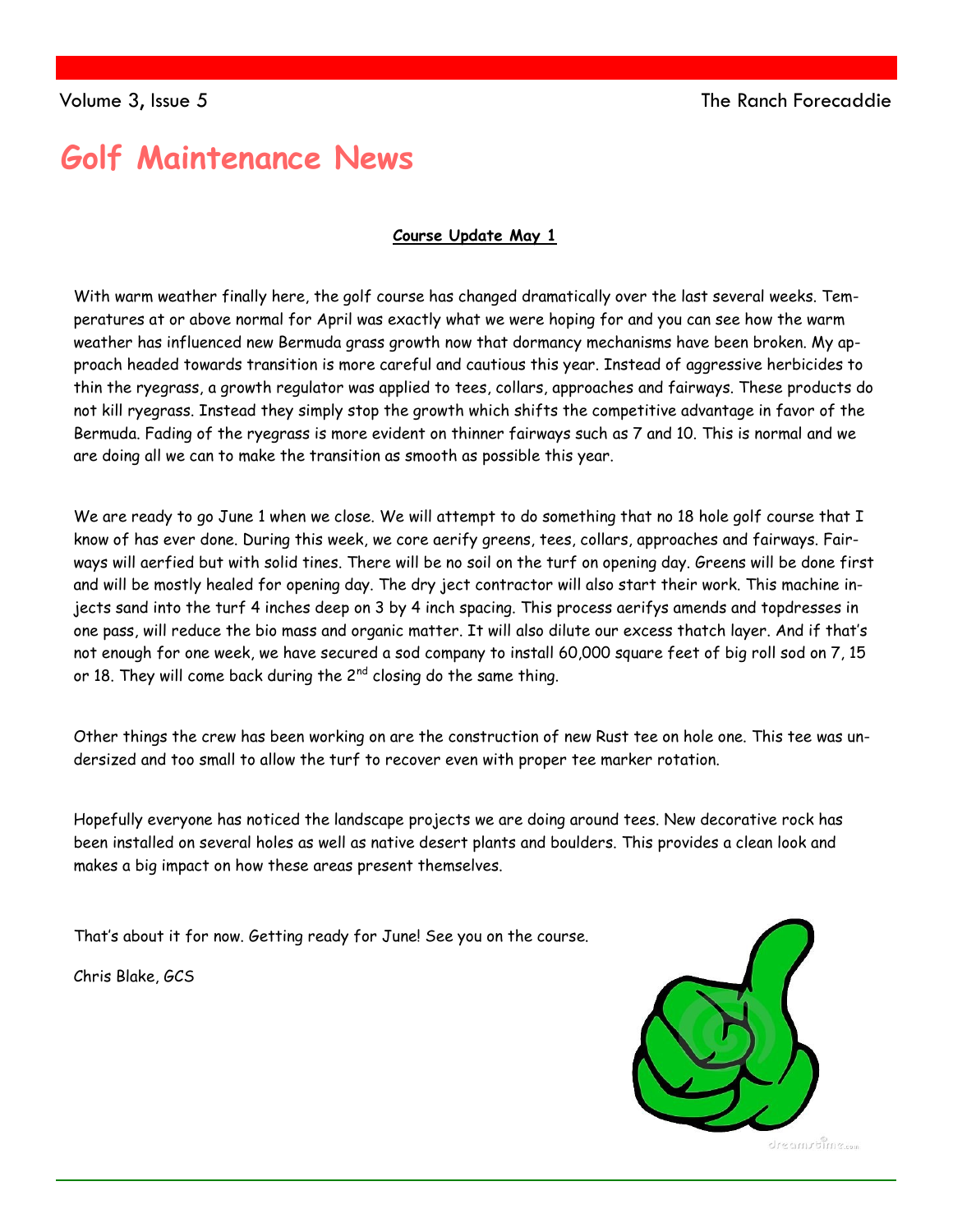## **Golf Maintenance News**

### **Course Update May 1**

With warm weather finally here, the golf course has changed dramatically over the last several weeks. Temperatures at or above normal for April was exactly what we were hoping for and you can see how the warm weather has influenced new Bermuda grass growth now that dormancy mechanisms have been broken. My approach headed towards transition is more careful and cautious this year. Instead of aggressive herbicides to thin the ryegrass, a growth regulator was applied to tees, collars, approaches and fairways. These products do not kill ryegrass. Instead they simply stop the growth which shifts the competitive advantage in favor of the Bermuda. Fading of the ryegrass is more evident on thinner fairways such as 7 and 10. This is normal and we are doing all we can to make the transition as smooth as possible this year.

We are ready to go June 1 when we close. We will attempt to do something that no 18 hole golf course that I know of has ever done. During this week, we core aerify greens, tees, collars, approaches and fairways. Fairways will aerfied but with solid tines. There will be no soil on the turf on opening day. Greens will be done first and will be mostly healed for opening day. The dry ject contractor will also start their work. This machine injects sand into the turf 4 inches deep on 3 by 4 inch spacing. This process aerifys amends and topdresses in one pass, will reduce the bio mass and organic matter. It will also dilute our excess thatch layer. And if that's not enough for one week, we have secured a sod company to install 60,000 square feet of big roll sod on 7, 15 or 18. They will come back during the  $2^{nd}$  closing do the same thing.

Other things the crew has been working on are the construction of new Rust tee on hole one. This tee was undersized and too small to allow the turf to recover even with proper tee marker rotation.

Hopefully everyone has noticed the landscape projects we are doing around tees. New decorative rock has been installed on several holes as well as native desert plants and boulders. This provides a clean look and makes a big impact on how these areas present themselves.

That's about it for now. Getting ready for June! See you on the course.

Chris Blake, GCS



dresmrtime.com